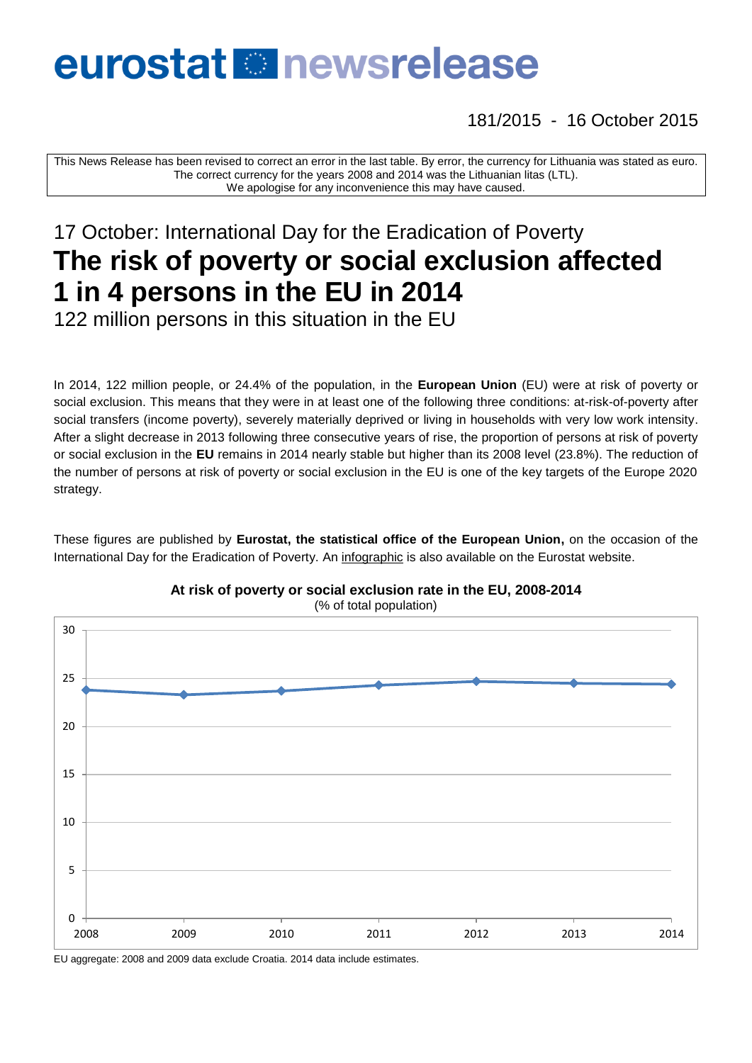# eurostat **Re** newsrelease

181/2015 - 16 October 2015

This News Release has been revised to correct an error in the last table. By error, the currency for Lithuania was stated as euro. The correct currency for the years 2008 and 2014 was the Lithuanian litas (LTL). We apologise for any inconvenience this may have caused.

## 17 October: International Day for the Eradication of Poverty **The risk of poverty or social exclusion affected 1 in 4 persons in the EU in 2014**

122 million persons in this situation in the EU

In 2014, 122 million people, or 24.4% of the population, in the **European Union** (EU) were at risk of poverty or social exclusion. This means that they were in at least one of the following three conditions: at-risk-of-poverty after social transfers (income poverty), severely materially deprived or living in households with very low work intensity. After a slight decrease in 2013 following three consecutive years of rise, the proportion of persons at risk of poverty or social exclusion in the **EU** remains in 2014 nearly stable but higher than its 2008 level (23.8%). The reduction of the number of persons at risk of poverty or social exclusion in the EU is one of the key targets of the Europe 2020 strategy.

These figures are published by **Eurostat, the statistical office of the European Union,** on the occasion of the International Day for the Eradication of Poverty. An [infographic](http://ec.europa.eu/eurostat/news/themes-in-the-spotlight/poverty-day) is also available on the Eurostat website.



**At risk of poverty or social exclusion rate in the EU, 2008-2014** (% of total population)

EU aggregate: 2008 and 2009 data exclude Croatia. 2014 data include estimates.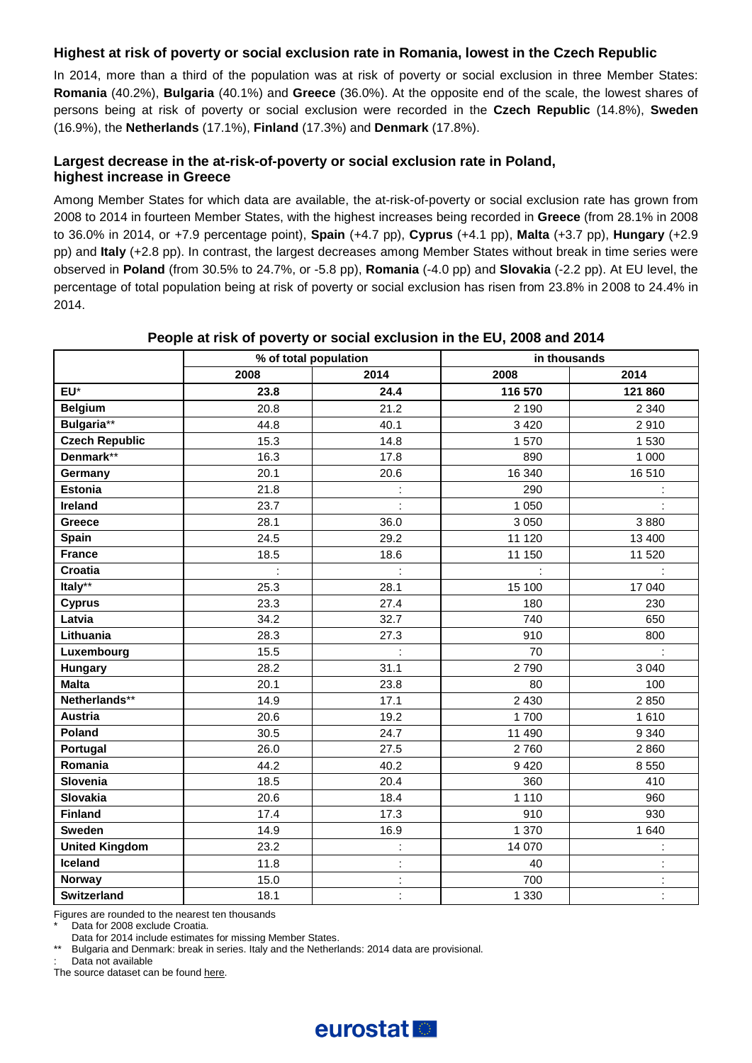#### **Highest at risk of poverty or social exclusion rate in Romania, lowest in the Czech Republic**

In 2014, more than a third of the population was at risk of poverty or social exclusion in three Member States: **Romania** (40.2%), **Bulgaria** (40.1%) and **Greece** (36.0%). At the opposite end of the scale, the lowest shares of persons being at risk of poverty or social exclusion were recorded in the **Czech Republic** (14.8%), **Sweden** (16.9%), the **Netherlands** (17.1%), **Finland** (17.3%) and **Denmark** (17.8%).

#### **Largest decrease in the at-risk-of-poverty or social exclusion rate in Poland, highest increase in Greece**

Among Member States for which data are available, the at-risk-of-poverty or social exclusion rate has grown from 2008 to 2014 in fourteen Member States, with the highest increases being recorded in **Greece** (from 28.1% in 2008 to 36.0% in 2014, or +7.9 percentage point), **Spain** (+4.7 pp), **Cyprus** (+4.1 pp), **Malta** (+3.7 pp), **Hungary** (+2.9 pp) and **Italy** (+2.8 pp). In contrast, the largest decreases among Member States without break in time series were observed in **Poland** (from 30.5% to 24.7%, or -5.8 pp), **Romania** (-4.0 pp) and **Slovakia** (-2.2 pp). At EU level, the percentage of total population being at risk of poverty or social exclusion has risen from 23.8% in 2008 to 24.4% in 2014.

|                       | % of total population |                      | in thousands |                |  |
|-----------------------|-----------------------|----------------------|--------------|----------------|--|
|                       | 2008                  | 2014                 | 2008         | 2014           |  |
| EU*                   | 23.8                  | 24.4                 | 116 570      | 121 860        |  |
| <b>Belgium</b>        | 20.8                  | 21.2                 | 2 1 9 0      | 2 3 4 0        |  |
| Bulgaria**            | 44.8                  | 40.1                 | 3 4 2 0      | 2910           |  |
| <b>Czech Republic</b> | 15.3                  | 14.8                 | 1570         | 1 5 3 0        |  |
| Denmark**             | 16.3                  | 17.8                 | 890          | 1 0 0 0        |  |
| Germany               | 20.1                  | 20.6                 | 16 340       | 16510          |  |
| <b>Estonia</b>        | 21.8                  | ÷,                   | 290          |                |  |
| Ireland               | 23.7                  | ł,                   | 1 0 5 0      |                |  |
| Greece                | 28.1                  | 36.0                 | 3 0 5 0      | 3880           |  |
| Spain                 | 24.5                  | 29.2                 | 11 120       | 13 400         |  |
| <b>France</b>         | 18.5                  | 18.6                 | 11 150       | 11 520         |  |
| Croatia               |                       | ÷                    |              |                |  |
| Italy**               | 25.3                  | 28.1                 | 15 100       | 17 040         |  |
| <b>Cyprus</b>         | 23.3                  | 27.4                 | 180          | 230            |  |
| Latvia                | 34.2                  | 32.7                 | 740          | 650            |  |
| Lithuania             | 28.3                  | 27.3                 | 910          | 800            |  |
| Luxembourg            | 15.5                  |                      | 70           |                |  |
| Hungary               | 28.2                  | 31.1                 | 2790         | 3 0 4 0        |  |
| <b>Malta</b>          | 20.1                  | 23.8                 | 80           | 100            |  |
| Netherlands**         | 14.9                  | 17.1                 | 2 4 3 0      | 2850           |  |
| <b>Austria</b>        | 20.6                  | 19.2                 | 1700         | 1610           |  |
| Poland                | 30.5                  | 24.7                 | 11 490       | 9 3 4 0        |  |
| Portugal              | 26.0                  | 27.5                 | 2760         | 2860           |  |
| Romania               | 44.2                  | 40.2                 | 9420         | 8550           |  |
| Slovenia              | 18.5                  | 20.4                 | 360          | 410            |  |
| <b>Slovakia</b>       | 20.6                  | 18.4                 | 1 1 1 0      | 960            |  |
| <b>Finland</b>        | 17.4                  | 17.3                 | 910          | 930            |  |
| <b>Sweden</b>         | 14.9                  | 16.9                 | 1 370        | 1 640          |  |
| <b>United Kingdom</b> | 23.2                  | t                    | 14 070       | ċ              |  |
| Iceland               | 11.8                  | $\ddot{\phantom{a}}$ | 40           | t              |  |
| <b>Norway</b>         | 15.0                  | ł,                   | 700          | ł,             |  |
| <b>Switzerland</b>    | 18.1                  | $\ddot{\phantom{a}}$ | 1 3 3 0      | $\blacksquare$ |  |

#### **People at risk of poverty or social exclusion in the EU, 2008 and 2014**

Figures are rounded to the nearest ten thousands

Data for 2008 exclude Croatia.

Data for 2014 include estimates for missing Member States.

Bulgaria and Denmark: break in series. Italy and the Netherlands: 2014 data are provisional.

Data not available

The source dataset can be foun[d here.](http://appsso.eurostat.ec.europa.eu/nui/show.do?query=BOOKMARK_DS-127829_QID_1DAED05F_UID_-3F171EB0&layout=UNIT,L,X,0;TIME,C,X,1;GEO,L,Y,0;AGE,L,Z,0;SEX,L,Z,1;INDICATORS,C,Z,2;&zSelection=DS-127829AGE,TOTAL;DS-127829SEX,T;DS-127829INDICATORS,OBS_FLAG;&rankName1=AGE_1_2_-1_2&rankName2=INDICATORS_1_2_-1_2&rankName3=SEX_1_2_-1_2&rankName4=UNIT_1_2_0_0&rankName5=TIME_1_0_1_0&rankName6=GEO_1_2_0_1&rStp=&cStp=&rDCh=&cDCh=&rDM=true&cDM=true&footnes=false&empty=false&wai=false&time_mode=ROLLING&time_most_recent=true&lang=EN&cfo=%23%23%23%2C%23%23%23.%23%23%23)

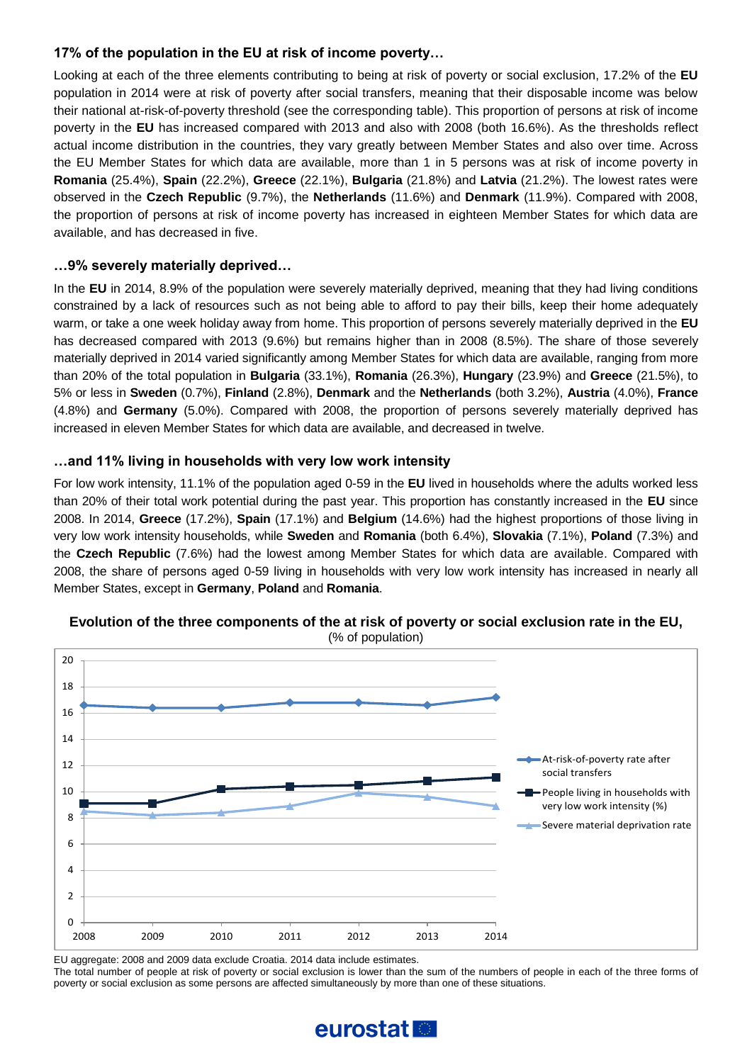#### **17% of the population in the EU at risk of income poverty…**

Looking at each of the three elements contributing to being at risk of poverty or social exclusion, 17.2% of the **EU** population in 2014 were at risk of poverty after social transfers, meaning that their disposable income was below their national at-risk-of-poverty threshold (see the corresponding table). This proportion of persons at risk of income poverty in the **EU** has increased compared with 2013 and also with 2008 (both 16.6%). As the thresholds reflect actual income distribution in the countries, they vary greatly between Member States and also over time. Across the EU Member States for which data are available, more than 1 in 5 persons was at risk of income poverty in **Romania** (25.4%), **Spain** (22.2%), **Greece** (22.1%), **Bulgaria** (21.8%) and **Latvia** (21.2%). The lowest rates were observed in the **Czech Republic** (9.7%), the **Netherlands** (11.6%) and **Denmark** (11.9%). Compared with 2008, the proportion of persons at risk of income poverty has increased in eighteen Member States for which data are available, and has decreased in five.

#### **…9% severely materially deprived…**

In the **EU** in 2014, 8.9% of the population were severely materially deprived, meaning that they had living conditions constrained by a lack of resources such as not being able to afford to pay their bills, keep their home adequately warm, or take a one week holiday away from home. This proportion of persons severely materially deprived in the **EU** has decreased compared with 2013 (9.6%) but remains higher than in 2008 (8.5%). The share of those severely materially deprived in 2014 varied significantly among Member States for which data are available, ranging from more than 20% of the total population in **Bulgaria** (33.1%), **Romania** (26.3%), **Hungary** (23.9%) and **Greece** (21.5%), to 5% or less in **Sweden** (0.7%), **Finland** (2.8%), **Denmark** and the **Netherlands** (both 3.2%), **Austria** (4.0%), **France** (4.8%) and **Germany** (5.0%). Compared with 2008, the proportion of persons severely materially deprived has increased in eleven Member States for which data are available, and decreased in twelve.

#### **…and 11% living in households with very low work intensity**

For low work intensity, 11.1% of the population aged 0-59 in the **EU** lived in households where the adults worked less than 20% of their total work potential during the past year. This proportion has constantly increased in the **EU** since 2008. In 2014, **Greece** (17.2%), **Spain** (17.1%) and **Belgium** (14.6%) had the highest proportions of those living in very low work intensity households, while **Sweden** and **Romania** (both 6.4%), **Slovakia** (7.1%), **Poland** (7.3%) and the **Czech Republic** (7.6%) had the lowest among Member States for which data are available. Compared with 2008, the share of persons aged 0-59 living in households with very low work intensity has increased in nearly all Member States, except in **Germany**, **Poland** and **Romania**.



### **Evolution of the three components of the at risk of poverty or social exclusion rate in the EU,**

EU aggregate: 2008 and 2009 data exclude Croatia. 2014 data include estimates.

The total number of people at risk of poverty or social exclusion is lower than the sum of the numbers of people in each of the three forms of poverty or social exclusion as some persons are affected simultaneously by more than one of these situations.

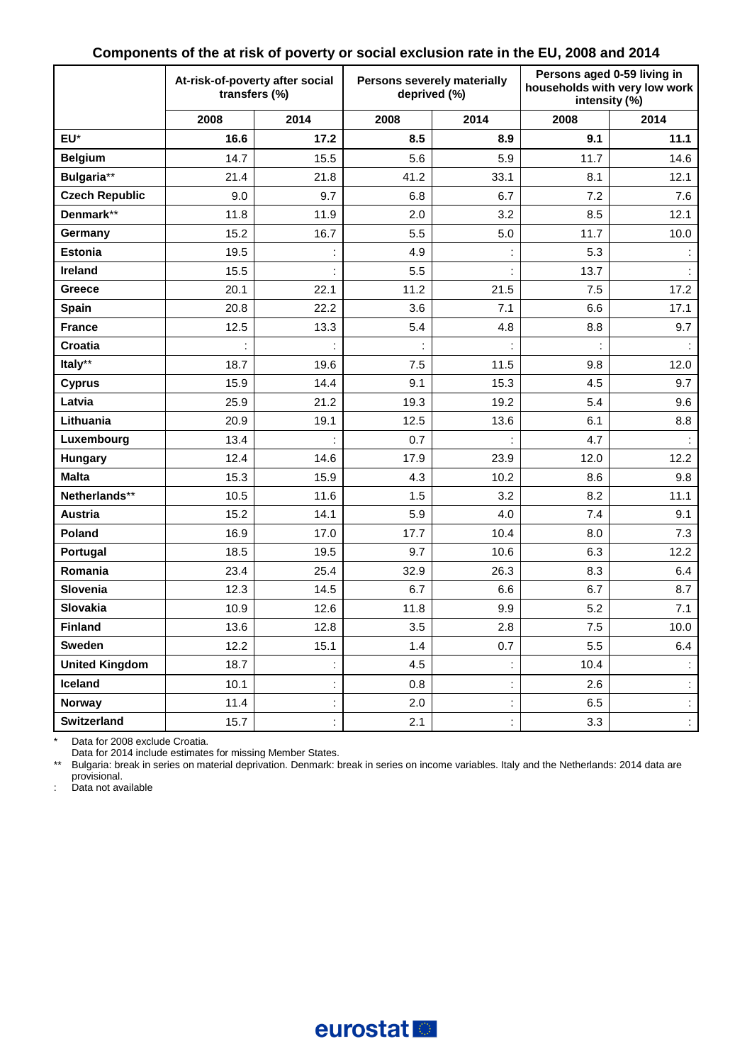|                       | At-risk-of-poverty after social<br>transfers (%) |                |      | Persons severely materially<br>deprived (%) | Persons aged 0-59 living in<br>households with very low work<br>intensity (%) |                      |
|-----------------------|--------------------------------------------------|----------------|------|---------------------------------------------|-------------------------------------------------------------------------------|----------------------|
|                       | 2008                                             | 2014           | 2008 | 2014                                        | 2008                                                                          | 2014                 |
| EU*                   | 16.6                                             | 17.2           | 8.5  | 8.9                                         | 9.1                                                                           | 11.1                 |
| <b>Belgium</b>        | 14.7                                             | 15.5           | 5.6  | 5.9                                         | 11.7                                                                          | 14.6                 |
| Bulgaria**            | 21.4                                             | 21.8           | 41.2 | 33.1                                        | 8.1                                                                           | 12.1                 |
| <b>Czech Republic</b> | 9.0                                              | 9.7            | 6.8  | 6.7                                         | 7.2                                                                           | 7.6                  |
| Denmark**             | 11.8                                             | 11.9           | 2.0  | 3.2                                         | 8.5                                                                           | 12.1                 |
| Germany               | 15.2                                             | 16.7           | 5.5  | 5.0                                         | 11.7                                                                          | 10.0                 |
| <b>Estonia</b>        | 19.5                                             |                | 4.9  |                                             | 5.3                                                                           | $\ddot{\phantom{a}}$ |
| Ireland               | 15.5                                             |                | 5.5  |                                             | 13.7                                                                          |                      |
| Greece                | 20.1                                             | 22.1           | 11.2 | 21.5                                        | 7.5                                                                           | 17.2                 |
| <b>Spain</b>          | 20.8                                             | 22.2           | 3.6  | 7.1                                         | 6.6                                                                           | 17.1                 |
| <b>France</b>         | 12.5                                             | 13.3           | 5.4  | 4.8                                         | 8.8                                                                           | 9.7                  |
| Croatia               | ċ                                                |                | Ì.   |                                             |                                                                               |                      |
| Italy**               | 18.7                                             | 19.6           | 7.5  | 11.5                                        | 9.8                                                                           | 12.0                 |
| <b>Cyprus</b>         | 15.9                                             | 14.4           | 9.1  | 15.3                                        | 4.5                                                                           | 9.7                  |
| Latvia                | 25.9                                             | 21.2           | 19.3 | 19.2                                        | 5.4                                                                           | 9.6                  |
| Lithuania             | 20.9                                             | 19.1           | 12.5 | 13.6                                        | 6.1                                                                           | 8.8                  |
| Luxembourg            | 13.4                                             |                | 0.7  |                                             | 4.7                                                                           |                      |
| Hungary               | 12.4                                             | 14.6           | 17.9 | 23.9                                        | 12.0                                                                          | 12.2                 |
| <b>Malta</b>          | 15.3                                             | 15.9           | 4.3  | 10.2                                        | 8.6                                                                           | 9.8                  |
| Netherlands**         | 10.5                                             | 11.6           | 1.5  | 3.2                                         | 8.2                                                                           | 11.1                 |
| <b>Austria</b>        | 15.2                                             | 14.1           | 5.9  | 4.0                                         | 7.4                                                                           | 9.1                  |
| Poland                | 16.9                                             | 17.0           | 17.7 | 10.4                                        | 8.0                                                                           | 7.3                  |
| Portugal              | 18.5                                             | 19.5           | 9.7  | 10.6                                        | 6.3                                                                           | 12.2                 |
| Romania               | 23.4                                             | 25.4           | 32.9 | 26.3                                        | 8.3                                                                           | 6.4                  |
| Slovenia              | 12.3                                             | 14.5           | 6.7  | 6.6                                         | 6.7                                                                           | 8.7                  |
| Slovakia              | 10.9                                             | 12.6           | 11.8 | 9.9                                         | 5.2                                                                           | 7.1                  |
| <b>Finland</b>        | 13.6                                             | 12.8           | 3.5  | 2.8                                         | 7.5                                                                           | 10.0                 |
| Sweden                | 12.2                                             | 15.1           | 1.4  | 0.7                                         | 5.5                                                                           | 6.4                  |
| <b>United Kingdom</b> | 18.7                                             |                | 4.5  | İ,                                          | 10.4                                                                          | $\mathbb{Z}^n$       |
| Iceland               | 10.1                                             | $\ddot{\cdot}$ | 0.8  | $\ddot{\phantom{a}}$                        | 2.6                                                                           | $\ddot{\phantom{a}}$ |
| Norway                | 11.4                                             | t              | 2.0  | İ,                                          | 6.5                                                                           | $\ddot{\phantom{a}}$ |
| Switzerland           | 15.7                                             | İ,             | 2.1  |                                             | 3.3                                                                           | $\mathbb{R}^3$       |

#### **Components of the at risk of poverty or social exclusion rate in the EU, 2008 and 2014**

\* Data for 2008 exclude Croatia.

Data for 2014 include estimates for missing Member States.

\*\* Bulgaria: break in series on material deprivation. Denmark: break in series on income variables. Italy and the Netherlands: 2014 data are

provisional. : Data not available

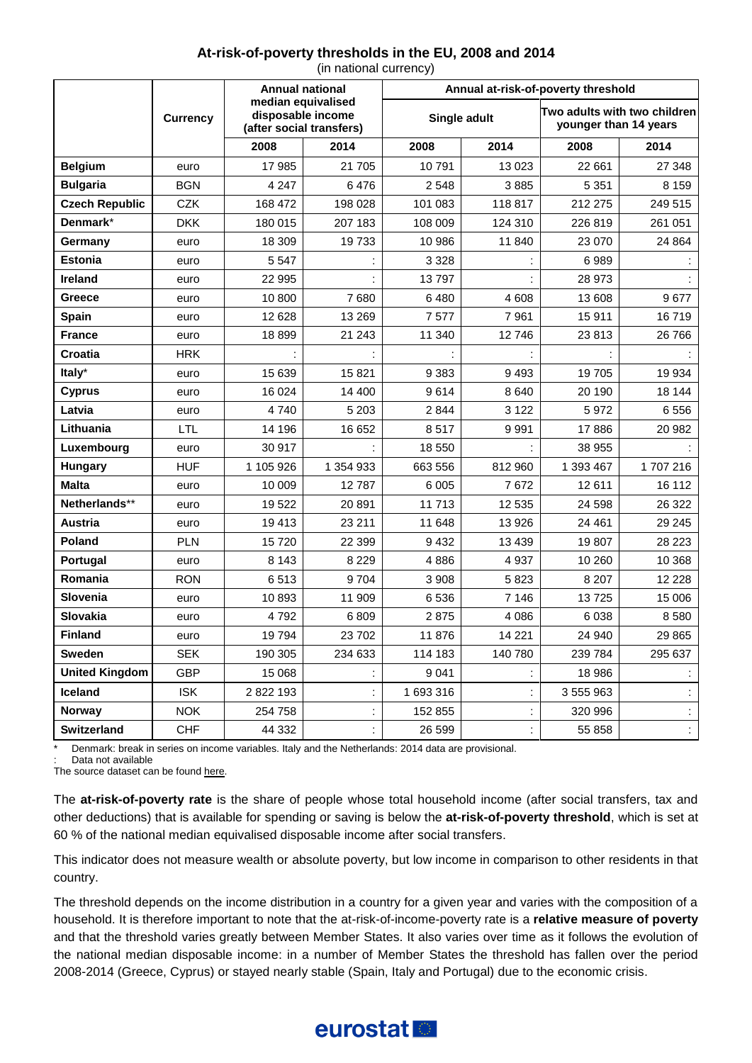#### **At-risk-of-poverty thresholds in the EU, 2008 and 2014**

|                       |                 | <b>Annual national</b><br>median equivalised<br>disposable income<br>(after social transfers) |           | Annual at-risk-of-poverty threshold |                |                                                       |         |
|-----------------------|-----------------|-----------------------------------------------------------------------------------------------|-----------|-------------------------------------|----------------|-------------------------------------------------------|---------|
|                       | <b>Currency</b> |                                                                                               |           | Single adult                        |                | Two adults with two children<br>younger than 14 years |         |
|                       |                 | 2008                                                                                          | 2014      | 2008                                | 2014           | 2008                                                  | 2014    |
| <b>Belgium</b>        | euro            | 17 985                                                                                        | 21 705    | 10791                               | 13 0 23        | 22 661                                                | 27 348  |
| <b>Bulgaria</b>       | <b>BGN</b>      | 4 2 4 7                                                                                       | 6476      | 2 5 4 8                             | 3885           | 5 3 5 1                                               | 8 1 5 9 |
| <b>Czech Republic</b> | <b>CZK</b>      | 168 472                                                                                       | 198 028   | 101 083                             | 118817         | 212 275                                               | 249 515 |
| Denmark*              | <b>DKK</b>      | 180 015                                                                                       | 207 183   | 108 009                             | 124 310        | 226 819                                               | 261 051 |
| Germany               | euro            | 18 309                                                                                        | 19733     | 10 986                              | 11 840         | 23 070                                                | 24 8 64 |
| <b>Estonia</b>        | euro            | 5 5 4 7                                                                                       |           | 3 3 2 8                             |                | 6989                                                  |         |
| <b>Ireland</b>        | euro            | 22 995                                                                                        |           | 13797                               |                | 28 973                                                |         |
| <b>Greece</b>         | euro            | 10800                                                                                         | 7680      | 6480                                | 4 608          | 13 608                                                | 9677    |
| <b>Spain</b>          | euro            | 12 628                                                                                        | 13 2 69   | 7577                                | 7961           | 15911                                                 | 16719   |
| <b>France</b>         | euro            | 18899                                                                                         | 21 243    | 11 340                              | 12746          | 23813                                                 | 26 766  |
| <b>Croatia</b>        | <b>HRK</b>      |                                                                                               |           |                                     |                |                                                       |         |
| Italy*                | euro            | 15 639                                                                                        | 15821     | 9 3 8 3                             | 9493           | 19705                                                 | 19 9 34 |
| <b>Cyprus</b>         | euro            | 16 0 24                                                                                       | 14 400    | 9614                                | 8640           | 20 190                                                | 18 144  |
| Latvia                | euro            | 4740                                                                                          | 5 2 0 3   | 2844                                | 3 1 2 2        | 5972                                                  | 6556    |
| Lithuania             | LTL             | 14 196                                                                                        | 16 652    | 8517                                | 9 9 9 1        | 17886                                                 | 20 982  |
| Luxembourg            | euro            | 30 917                                                                                        |           | 18 550                              |                | 38 955                                                |         |
| <b>Hungary</b>        | <b>HUF</b>      | 1 105 926                                                                                     | 1 354 933 | 663 556                             | 812 960        | 1 393 467                                             | 1707216 |
| <b>Malta</b>          | euro            | 10 009                                                                                        | 12787     | 6 0 05                              | 7672           | 12611                                                 | 16 112  |
| Netherlands**         | euro            | 19522                                                                                         | 20 891    | 11 713                              | 12 535         | 24 5 98                                               | 26 3 22 |
| <b>Austria</b>        | euro            | 19413                                                                                         | 23 211    | 11 648                              | 13 9 26        | 24 4 61                                               | 29 245  |
| Poland                | <b>PLN</b>      | 15720                                                                                         | 22 399    | 9432                                | 13 4 39        | 19807                                                 | 28 223  |
| <b>Portugal</b>       | euro            | 8 1 4 3                                                                                       | 8 2 2 9   | 4886                                | 4937           | 10 260                                                | 10 368  |
| Romania               | <b>RON</b>      | 6513                                                                                          | 9704      | 3 9 0 8                             | 5823           | 8 2 0 7                                               | 12 2 28 |
| <b>Slovenia</b>       | euro            | 10893                                                                                         | 11 909    | 6 536                               | 7 1 4 6        | 13725                                                 | 15 006  |
| Slovakia              | euro            | 4792                                                                                          | 6809      | 2875                                | 4086           | 6038                                                  | 8580    |
| <b>Finland</b>        | euro            | 19794                                                                                         | 23 702    | 11 876                              | 14 2 21        | 24 940                                                | 29 865  |
| <b>Sweden</b>         | <b>SEK</b>      | 190 305                                                                                       | 234 633   | 114 183                             | 140 780        | 239 784                                               | 295 637 |
| <b>United Kingdom</b> | <b>GBP</b>      | 15 068                                                                                        |           | 9041                                | t              | 18 986                                                | ÷       |
| Iceland               | <b>ISK</b>      | 2 822 193                                                                                     |           | 1 693 316                           |                | 3 555 963                                             |         |
| <b>Norway</b>         | <b>NOK</b>      | 254 758                                                                                       |           | 152 855                             | $\ddot{\cdot}$ | 320 996                                               | İ.      |
| <b>Switzerland</b>    | <b>CHF</b>      | 44 332                                                                                        |           | 26 599                              |                | 55 858                                                |         |

(in national currency)

Denmark: break in series on income variables. Italy and the Netherlands: 2014 data are provisional.

Data not available

The source dataset can be foun[d here.](http://appsso.eurostat.ec.europa.eu/nui/show.do?query=BOOKMARK_DS-053418_QID_-5AF53536_UID_-3F171EB0&layout=HHTYP,L,X,0;TIME,C,X,1;GEO,L,Y,0;INDIC_IL,L,Z,0;CURRENCY,L,Z,1;INDICATORS,C,Z,2;&zSelection=DS-053418INDICATORS,OBS_FLAG;DS-053418CURRENCY,NAC;DS-053418INDIC_IL,LI_C_MD60;&rankName1=INDIC-IL_1_2_-1_2&rankName2=CURRENCY_1_2_-1_2&rankName3=INDICATORS_1_2_-1_2&rankName4=HHTYP_1_2_0_0&rankName5=TIME_1_0_1_0&rankName6=GEO_1_2_0_1&rStp=&cStp=&rDCh=&cDCh=&rDM=true&cDM=true&footnes=false&empty=false&wai=false&time_mode=ROLLING&time_most_recent=true&lang=EN&cfo=%23%23%23%2C%23%23%23.%23%23%23)

The **at-risk-of-poverty rate** is the share of people whose total household income (after social transfers, tax and other deductions) that is available for spending or saving is below the **at-risk-of-poverty threshold**, which is set at 60 % of the national median equivalised disposable income after social transfers.

This indicator does not measure wealth or absolute poverty, but low income in comparison to other residents in that country.

The threshold depends on the income distribution in a country for a given year and varies with the composition of a household. It is therefore important to note that the at-risk-of-income-poverty rate is a **relative measure of poverty** and that the threshold varies greatly between Member States. It also varies over time as it follows the evolution of the national median disposable income: in a number of Member States the threshold has fallen over the period 2008-2014 (Greece, Cyprus) or stayed nearly stable (Spain, Italy and Portugal) due to the economic crisis.